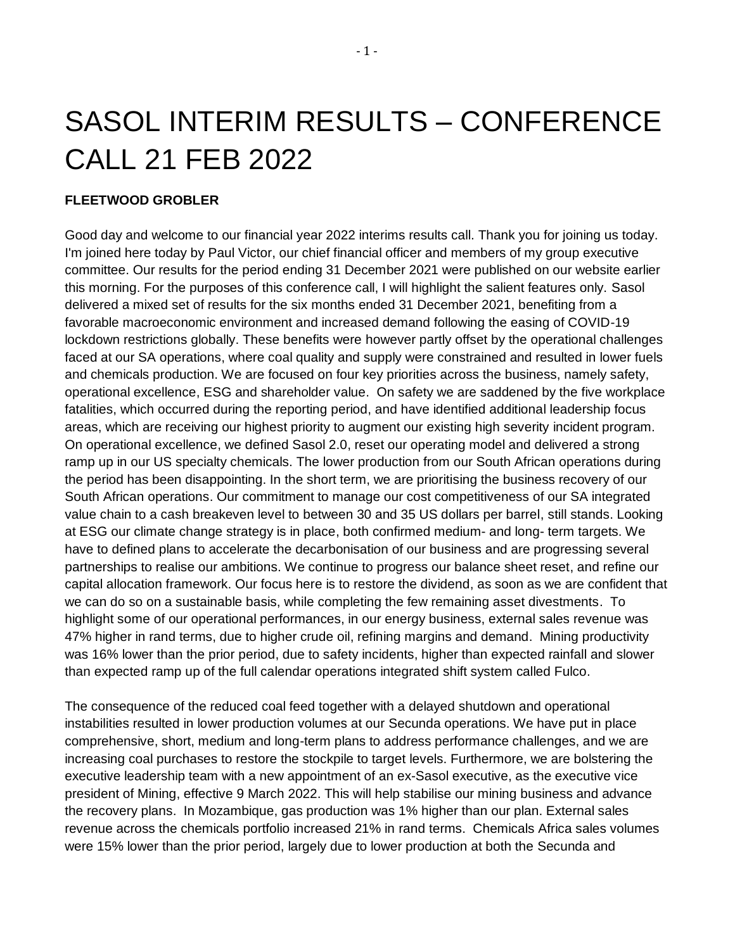# SASOL INTERIM RESULTS – CONFERENCE CALL 21 FEB 2022

#### **FLEETWOOD GROBLER**

Good day and welcome to our financial year 2022 interims results call. Thank you for joining us today. I'm joined here today by Paul Victor, our chief financial officer and members of my group executive committee. Our results for the period ending 31 December 2021 were published on our website earlier this morning. For the purposes of this conference call, I will highlight the salient features only. Sasol delivered a mixed set of results for the six months ended 31 December 2021, benefiting from a favorable macroeconomic environment and increased demand following the easing of COVID-19 lockdown restrictions globally. These benefits were however partly offset by the operational challenges faced at our SA operations, where coal quality and supply were constrained and resulted in lower fuels and chemicals production. We are focused on four key priorities across the business, namely safety, operational excellence, ESG and shareholder value. On safety we are saddened by the five workplace fatalities, which occurred during the reporting period, and have identified additional leadership focus areas, which are receiving our highest priority to augment our existing high severity incident program. On operational excellence, we defined Sasol 2.0, reset our operating model and delivered a strong ramp up in our US specialty chemicals. The lower production from our South African operations during the period has been disappointing. In the short term, we are prioritising the business recovery of our South African operations. Our commitment to manage our cost competitiveness of our SA integrated value chain to a cash breakeven level to between 30 and 35 US dollars per barrel, still stands. Looking at ESG our climate change strategy is in place, both confirmed medium- and long- term targets. We have to defined plans to accelerate the decarbonisation of our business and are progressing several partnerships to realise our ambitions. We continue to progress our balance sheet reset, and refine our capital allocation framework. Our focus here is to restore the dividend, as soon as we are confident that we can do so on a sustainable basis, while completing the few remaining asset divestments. To highlight some of our operational performances, in our energy business, external sales revenue was 47% higher in rand terms, due to higher crude oil, refining margins and demand. Mining productivity was 16% lower than the prior period, due to safety incidents, higher than expected rainfall and slower than expected ramp up of the full calendar operations integrated shift system called Fulco.

The consequence of the reduced coal feed together with a delayed shutdown and operational instabilities resulted in lower production volumes at our Secunda operations. We have put in place comprehensive, short, medium and long-term plans to address performance challenges, and we are increasing coal purchases to restore the stockpile to target levels. Furthermore, we are bolstering the executive leadership team with a new appointment of an ex-Sasol executive, as the executive vice president of Mining, effective 9 March 2022. This will help stabilise our mining business and advance the recovery plans. In Mozambique, gas production was 1% higher than our plan. External sales revenue across the chemicals portfolio increased 21% in rand terms. Chemicals Africa sales volumes were 15% lower than the prior period, largely due to lower production at both the Secunda and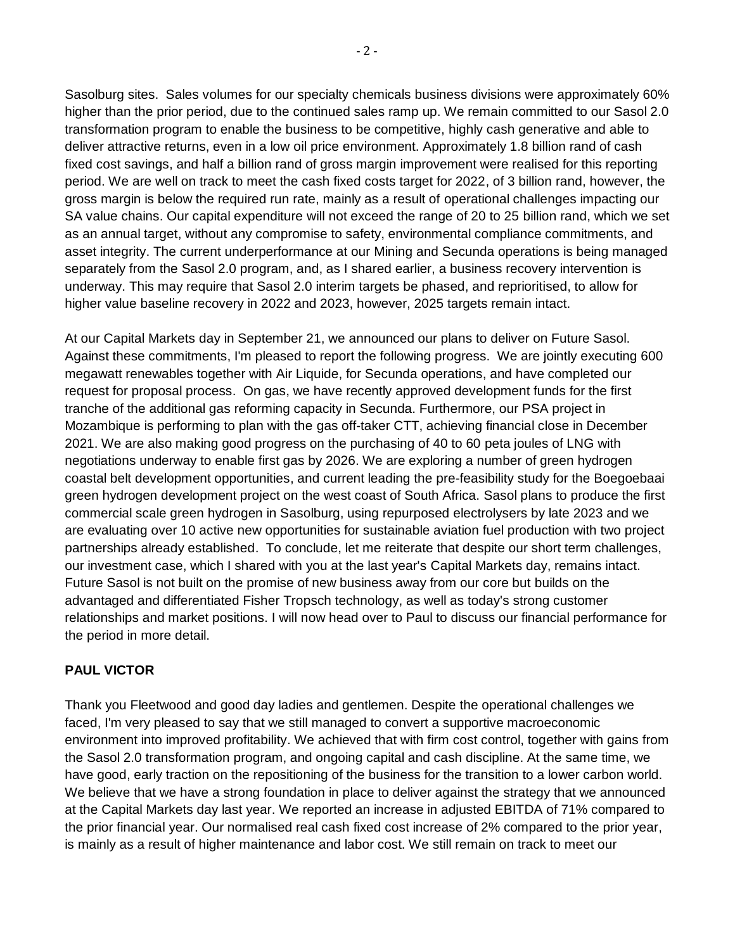Sasolburg sites. Sales volumes for our specialty chemicals business divisions were approximately 60% higher than the prior period, due to the continued sales ramp up. We remain committed to our Sasol 2.0 transformation program to enable the business to be competitive, highly cash generative and able to deliver attractive returns, even in a low oil price environment. Approximately 1.8 billion rand of cash fixed cost savings, and half a billion rand of gross margin improvement were realised for this reporting period. We are well on track to meet the cash fixed costs target for 2022, of 3 billion rand, however, the gross margin is below the required run rate, mainly as a result of operational challenges impacting our SA value chains. Our capital expenditure will not exceed the range of 20 to 25 billion rand, which we set as an annual target, without any compromise to safety, environmental compliance commitments, and asset integrity. The current underperformance at our Mining and Secunda operations is being managed separately from the Sasol 2.0 program, and, as I shared earlier, a business recovery intervention is underway. This may require that Sasol 2.0 interim targets be phased, and reprioritised, to allow for higher value baseline recovery in 2022 and 2023, however, 2025 targets remain intact.

At our Capital Markets day in September 21, we announced our plans to deliver on Future Sasol. Against these commitments, I'm pleased to report the following progress. We are jointly executing 600 megawatt renewables together with Air Liquide, for Secunda operations, and have completed our request for proposal process. On gas, we have recently approved development funds for the first tranche of the additional gas reforming capacity in Secunda. Furthermore, our PSA project in Mozambique is performing to plan with the gas off-taker CTT, achieving financial close in December 2021. We are also making good progress on the purchasing of 40 to 60 peta joules of LNG with negotiations underway to enable first gas by 2026. We are exploring a number of green hydrogen coastal belt development opportunities, and current leading the pre-feasibility study for the Boegoebaai green hydrogen development project on the west coast of South Africa. Sasol plans to produce the first commercial scale green hydrogen in Sasolburg, using repurposed electrolysers by late 2023 and we are evaluating over 10 active new opportunities for sustainable aviation fuel production with two project partnerships already established. To conclude, let me reiterate that despite our short term challenges, our investment case, which I shared with you at the last year's Capital Markets day, remains intact. Future Sasol is not built on the promise of new business away from our core but builds on the advantaged and differentiated Fisher Tropsch technology, as well as today's strong customer relationships and market positions. I will now head over to Paul to discuss our financial performance for the period in more detail.

## **PAUL VICTOR**

Thank you Fleetwood and good day ladies and gentlemen. Despite the operational challenges we faced, I'm very pleased to say that we still managed to convert a supportive macroeconomic environment into improved profitability. We achieved that with firm cost control, together with gains from the Sasol 2.0 transformation program, and ongoing capital and cash discipline. At the same time, we have good, early traction on the repositioning of the business for the transition to a lower carbon world. We believe that we have a strong foundation in place to deliver against the strategy that we announced at the Capital Markets day last year. We reported an increase in adjusted EBITDA of 71% compared to the prior financial year. Our normalised real cash fixed cost increase of 2% compared to the prior year, is mainly as a result of higher maintenance and labor cost. We still remain on track to meet our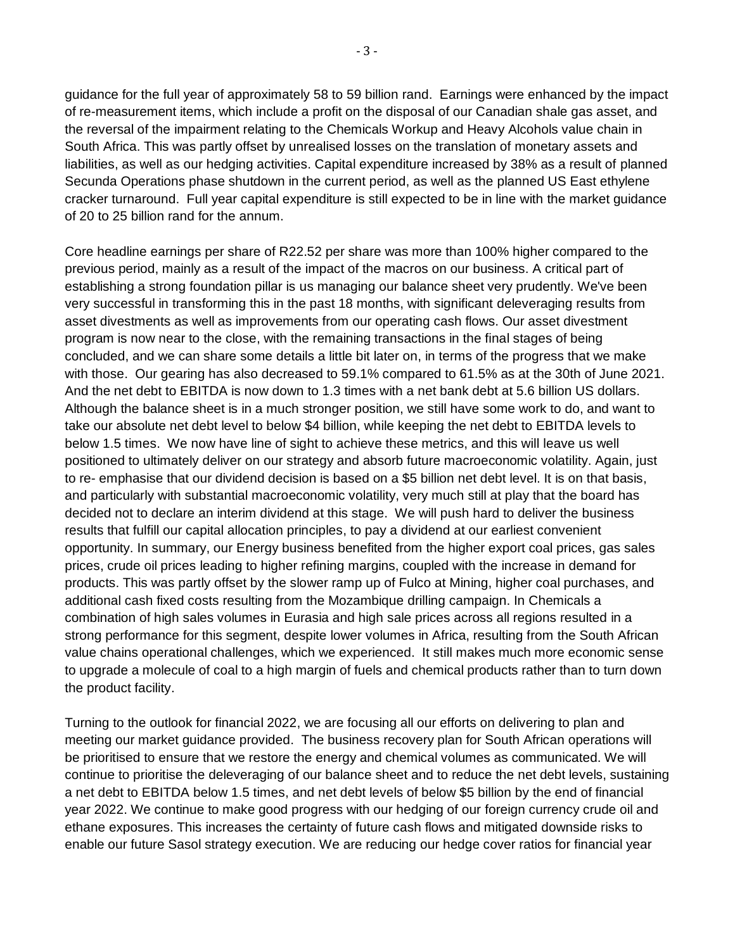guidance for the full year of approximately 58 to 59 billion rand. Earnings were enhanced by the impact of re-measurement items, which include a profit on the disposal of our Canadian shale gas asset, and the reversal of the impairment relating to the Chemicals Workup and Heavy Alcohols value chain in South Africa. This was partly offset by unrealised losses on the translation of monetary assets and liabilities, as well as our hedging activities. Capital expenditure increased by 38% as a result of planned Secunda Operations phase shutdown in the current period, as well as the planned US East ethylene cracker turnaround. Full year capital expenditure is still expected to be in line with the market guidance of 20 to 25 billion rand for the annum.

Core headline earnings per share of R22.52 per share was more than 100% higher compared to the previous period, mainly as a result of the impact of the macros on our business. A critical part of establishing a strong foundation pillar is us managing our balance sheet very prudently. We've been very successful in transforming this in the past 18 months, with significant deleveraging results from asset divestments as well as improvements from our operating cash flows. Our asset divestment program is now near to the close, with the remaining transactions in the final stages of being concluded, and we can share some details a little bit later on, in terms of the progress that we make with those. Our gearing has also decreased to 59.1% compared to 61.5% as at the 30th of June 2021. And the net debt to EBITDA is now down to 1.3 times with a net bank debt at 5.6 billion US dollars. Although the balance sheet is in a much stronger position, we still have some work to do, and want to take our absolute net debt level to below \$4 billion, while keeping the net debt to EBITDA levels to below 1.5 times. We now have line of sight to achieve these metrics, and this will leave us well positioned to ultimately deliver on our strategy and absorb future macroeconomic volatility. Again, just to re- emphasise that our dividend decision is based on a \$5 billion net debt level. It is on that basis, and particularly with substantial macroeconomic volatility, very much still at play that the board has decided not to declare an interim dividend at this stage. We will push hard to deliver the business results that fulfill our capital allocation principles, to pay a dividend at our earliest convenient opportunity. In summary, our Energy business benefited from the higher export coal prices, gas sales prices, crude oil prices leading to higher refining margins, coupled with the increase in demand for products. This was partly offset by the slower ramp up of Fulco at Mining, higher coal purchases, and additional cash fixed costs resulting from the Mozambique drilling campaign. In Chemicals a combination of high sales volumes in Eurasia and high sale prices across all regions resulted in a strong performance for this segment, despite lower volumes in Africa, resulting from the South African value chains operational challenges, which we experienced. It still makes much more economic sense to upgrade a molecule of coal to a high margin of fuels and chemical products rather than to turn down the product facility.

Turning to the outlook for financial 2022, we are focusing all our efforts on delivering to plan and meeting our market guidance provided. The business recovery plan for South African operations will be prioritised to ensure that we restore the energy and chemical volumes as communicated. We will continue to prioritise the deleveraging of our balance sheet and to reduce the net debt levels, sustaining a net debt to EBITDA below 1.5 times, and net debt levels of below \$5 billion by the end of financial year 2022. We continue to make good progress with our hedging of our foreign currency crude oil and ethane exposures. This increases the certainty of future cash flows and mitigated downside risks to enable our future Sasol strategy execution. We are reducing our hedge cover ratios for financial year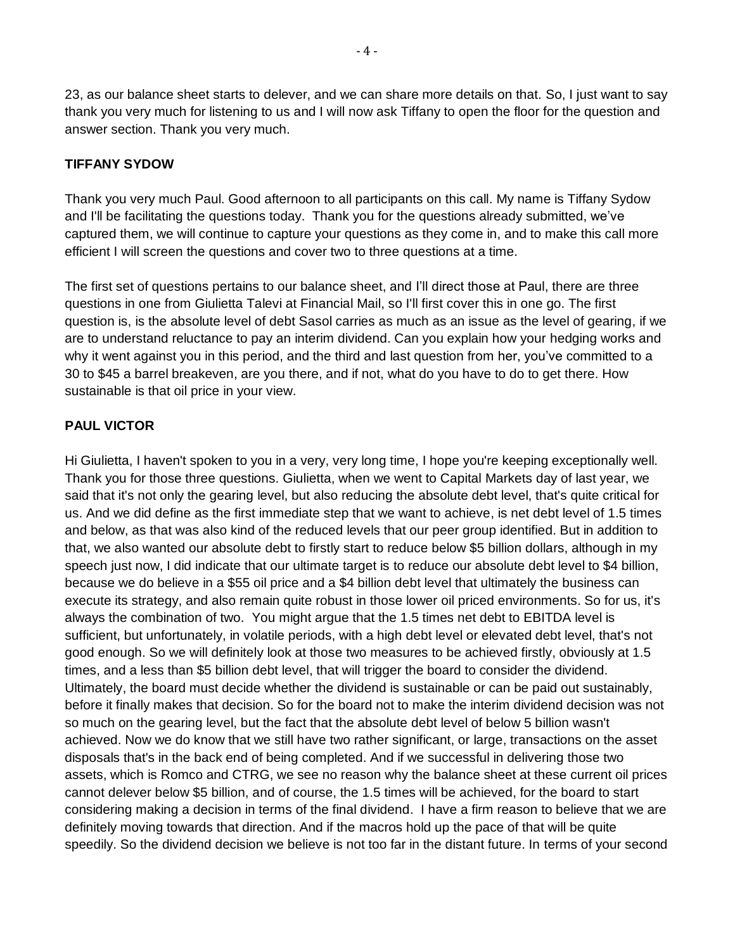23, as our balance sheet starts to delever, and we can share more details on that. So, I just want to say thank you very much for listening to us and I will now ask Tiffany to open the floor for the question and answer section. Thank you very much.

## **TIFFANY SYDOW**

Thank you very much Paul. Good afternoon to all participants on this call. My name is Tiffany Sydow and I'll be facilitating the questions today. Thank you for the questions already submitted, we've captured them, we will continue to capture your questions as they come in, and to make this call more efficient I will screen the questions and cover two to three questions at a time.

The first set of questions pertains to our balance sheet, and I'll direct those at Paul, there are three questions in one from Giulietta Talevi at Financial Mail, so I'll first cover this in one go. The first question is, is the absolute level of debt Sasol carries as much as an issue as the level of gearing, if we are to understand reluctance to pay an interim dividend. Can you explain how your hedging works and why it went against you in this period, and the third and last question from her, you've committed to a 30 to \$45 a barrel breakeven, are you there, and if not, what do you have to do to get there. How sustainable is that oil price in your view.

# **PAUL VICTOR**

Hi Giulietta, I haven't spoken to you in a very, very long time, I hope you're keeping exceptionally well. Thank you for those three questions. Giulietta, when we went to Capital Markets day of last year, we said that it's not only the gearing level, but also reducing the absolute debt level, that's quite critical for us. And we did define as the first immediate step that we want to achieve, is net debt level of 1.5 times and below, as that was also kind of the reduced levels that our peer group identified. But in addition to that, we also wanted our absolute debt to firstly start to reduce below \$5 billion dollars, although in my speech just now, I did indicate that our ultimate target is to reduce our absolute debt level to \$4 billion, because we do believe in a \$55 oil price and a \$4 billion debt level that ultimately the business can execute its strategy, and also remain quite robust in those lower oil priced environments. So for us, it's always the combination of two. You might argue that the 1.5 times net debt to EBITDA level is sufficient, but unfortunately, in volatile periods, with a high debt level or elevated debt level, that's not good enough. So we will definitely look at those two measures to be achieved firstly, obviously at 1.5 times, and a less than \$5 billion debt level, that will trigger the board to consider the dividend. Ultimately, the board must decide whether the dividend is sustainable or can be paid out sustainably, before it finally makes that decision. So for the board not to make the interim dividend decision was not so much on the gearing level, but the fact that the absolute debt level of below 5 billion wasn't achieved. Now we do know that we still have two rather significant, or large, transactions on the asset disposals that's in the back end of being completed. And if we successful in delivering those two assets, which is Romco and CTRG, we see no reason why the balance sheet at these current oil prices cannot delever below \$5 billion, and of course, the 1.5 times will be achieved, for the board to start considering making a decision in terms of the final dividend. I have a firm reason to believe that we are definitely moving towards that direction. And if the macros hold up the pace of that will be quite speedily. So the dividend decision we believe is not too far in the distant future. In terms of your second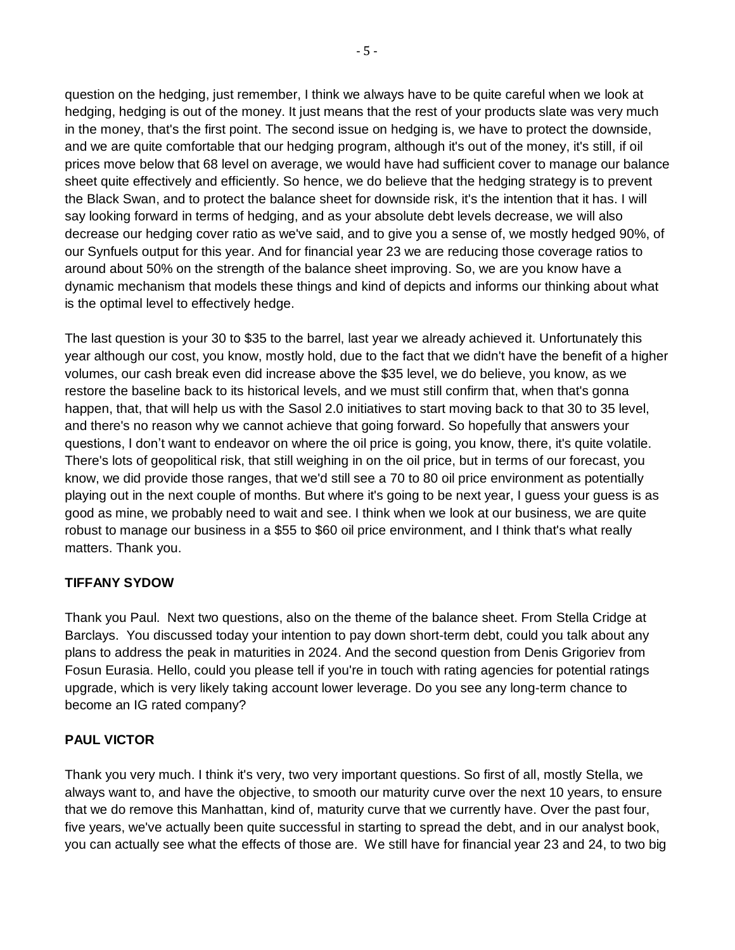question on the hedging, just remember, I think we always have to be quite careful when we look at hedging, hedging is out of the money. It just means that the rest of your products slate was very much in the money, that's the first point. The second issue on hedging is, we have to protect the downside, and we are quite comfortable that our hedging program, although it's out of the money, it's still, if oil prices move below that 68 level on average, we would have had sufficient cover to manage our balance sheet quite effectively and efficiently. So hence, we do believe that the hedging strategy is to prevent the Black Swan, and to protect the balance sheet for downside risk, it's the intention that it has. I will say looking forward in terms of hedging, and as your absolute debt levels decrease, we will also decrease our hedging cover ratio as we've said, and to give you a sense of, we mostly hedged 90%, of our Synfuels output for this year. And for financial year 23 we are reducing those coverage ratios to around about 50% on the strength of the balance sheet improving. So, we are you know have a dynamic mechanism that models these things and kind of depicts and informs our thinking about what is the optimal level to effectively hedge.

The last question is your 30 to \$35 to the barrel, last year we already achieved it. Unfortunately this year although our cost, you know, mostly hold, due to the fact that we didn't have the benefit of a higher volumes, our cash break even did increase above the \$35 level, we do believe, you know, as we restore the baseline back to its historical levels, and we must still confirm that, when that's gonna happen, that, that will help us with the Sasol 2.0 initiatives to start moving back to that 30 to 35 level, and there's no reason why we cannot achieve that going forward. So hopefully that answers your questions, I don't want to endeavor on where the oil price is going, you know, there, it's quite volatile. There's lots of geopolitical risk, that still weighing in on the oil price, but in terms of our forecast, you know, we did provide those ranges, that we'd still see a 70 to 80 oil price environment as potentially playing out in the next couple of months. But where it's going to be next year, I guess your guess is as good as mine, we probably need to wait and see. I think when we look at our business, we are quite robust to manage our business in a \$55 to \$60 oil price environment, and I think that's what really matters. Thank you.

## **TIFFANY SYDOW**

Thank you Paul. Next two questions, also on the theme of the balance sheet. From Stella Cridge at Barclays. You discussed today your intention to pay down short-term debt, could you talk about any plans to address the peak in maturities in 2024. And the second question from Denis Grigoriev from Fosun Eurasia. Hello, could you please tell if you're in touch with rating agencies for potential ratings upgrade, which is very likely taking account lower leverage. Do you see any long-term chance to become an IG rated company?

#### **PAUL VICTOR**

Thank you very much. I think it's very, two very important questions. So first of all, mostly Stella, we always want to, and have the objective, to smooth our maturity curve over the next 10 years, to ensure that we do remove this Manhattan, kind of, maturity curve that we currently have. Over the past four, five years, we've actually been quite successful in starting to spread the debt, and in our analyst book, you can actually see what the effects of those are. We still have for financial year 23 and 24, to two big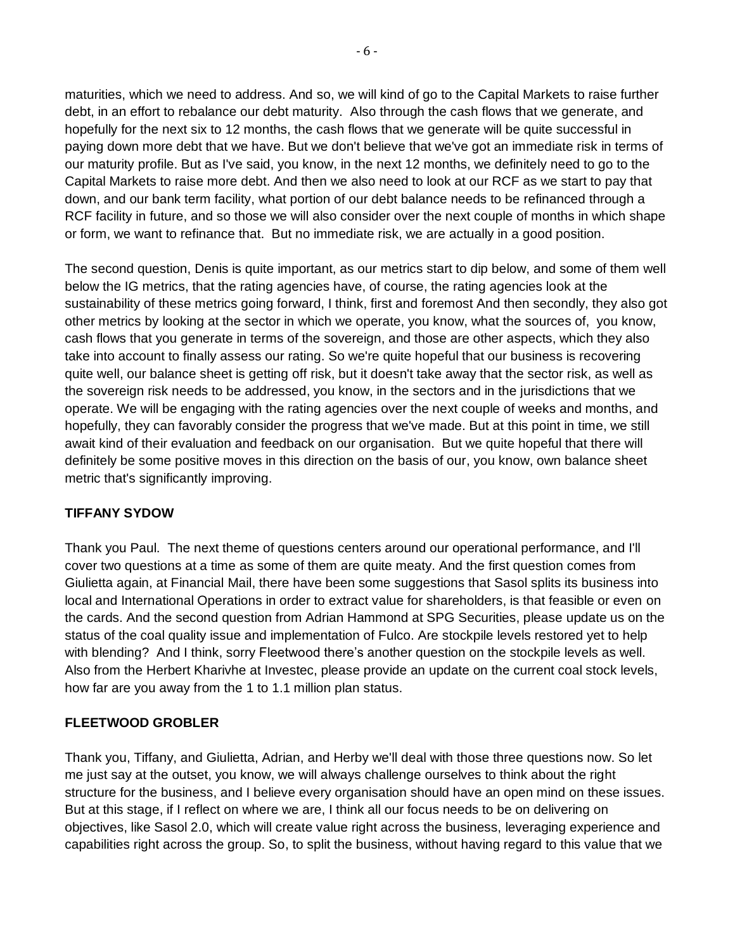maturities, which we need to address. And so, we will kind of go to the Capital Markets to raise further debt, in an effort to rebalance our debt maturity. Also through the cash flows that we generate, and hopefully for the next six to 12 months, the cash flows that we generate will be quite successful in paying down more debt that we have. But we don't believe that we've got an immediate risk in terms of our maturity profile. But as I've said, you know, in the next 12 months, we definitely need to go to the Capital Markets to raise more debt. And then we also need to look at our RCF as we start to pay that down, and our bank term facility, what portion of our debt balance needs to be refinanced through a RCF facility in future, and so those we will also consider over the next couple of months in which shape or form, we want to refinance that. But no immediate risk, we are actually in a good position.

The second question, Denis is quite important, as our metrics start to dip below, and some of them well below the IG metrics, that the rating agencies have, of course, the rating agencies look at the sustainability of these metrics going forward, I think, first and foremost And then secondly, they also got other metrics by looking at the sector in which we operate, you know, what the sources of, you know, cash flows that you generate in terms of the sovereign, and those are other aspects, which they also take into account to finally assess our rating. So we're quite hopeful that our business is recovering quite well, our balance sheet is getting off risk, but it doesn't take away that the sector risk, as well as the sovereign risk needs to be addressed, you know, in the sectors and in the jurisdictions that we operate. We will be engaging with the rating agencies over the next couple of weeks and months, and hopefully, they can favorably consider the progress that we've made. But at this point in time, we still await kind of their evaluation and feedback on our organisation. But we quite hopeful that there will definitely be some positive moves in this direction on the basis of our, you know, own balance sheet metric that's significantly improving.

## **TIFFANY SYDOW**

Thank you Paul. The next theme of questions centers around our operational performance, and I'll cover two questions at a time as some of them are quite meaty. And the first question comes from Giulietta again, at Financial Mail, there have been some suggestions that Sasol splits its business into local and International Operations in order to extract value for shareholders, is that feasible or even on the cards. And the second question from Adrian Hammond at SPG Securities, please update us on the status of the coal quality issue and implementation of Fulco. Are stockpile levels restored yet to help with blending? And I think, sorry Fleetwood there's another question on the stockpile levels as well. Also from the Herbert Kharivhe at Investec, please provide an update on the current coal stock levels, how far are you away from the 1 to 1.1 million plan status.

#### **FLEETWOOD GROBLER**

Thank you, Tiffany, and Giulietta, Adrian, and Herby we'll deal with those three questions now. So let me just say at the outset, you know, we will always challenge ourselves to think about the right structure for the business, and I believe every organisation should have an open mind on these issues. But at this stage, if I reflect on where we are, I think all our focus needs to be on delivering on objectives, like Sasol 2.0, which will create value right across the business, leveraging experience and capabilities right across the group. So, to split the business, without having regard to this value that we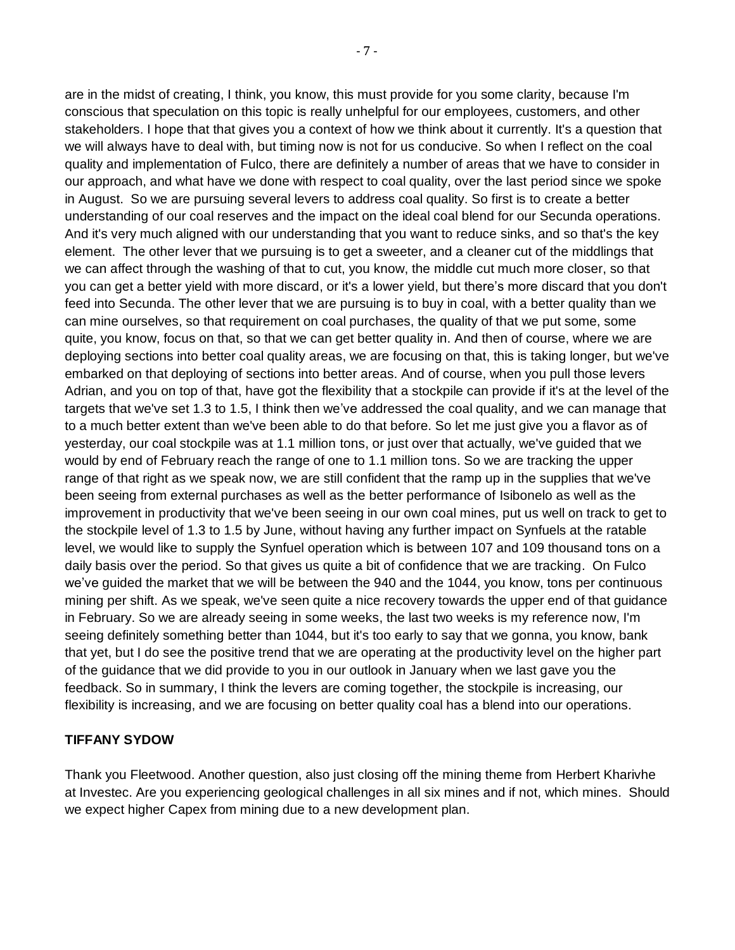are in the midst of creating, I think, you know, this must provide for you some clarity, because I'm conscious that speculation on this topic is really unhelpful for our employees, customers, and other stakeholders. I hope that that gives you a context of how we think about it currently. It's a question that we will always have to deal with, but timing now is not for us conducive. So when I reflect on the coal quality and implementation of Fulco, there are definitely a number of areas that we have to consider in our approach, and what have we done with respect to coal quality, over the last period since we spoke in August. So we are pursuing several levers to address coal quality. So first is to create a better understanding of our coal reserves and the impact on the ideal coal blend for our Secunda operations. And it's very much aligned with our understanding that you want to reduce sinks, and so that's the key element. The other lever that we pursuing is to get a sweeter, and a cleaner cut of the middlings that we can affect through the washing of that to cut, you know, the middle cut much more closer, so that you can get a better yield with more discard, or it's a lower yield, but there's more discard that you don't feed into Secunda. The other lever that we are pursuing is to buy in coal, with a better quality than we can mine ourselves, so that requirement on coal purchases, the quality of that we put some, some quite, you know, focus on that, so that we can get better quality in. And then of course, where we are deploying sections into better coal quality areas, we are focusing on that, this is taking longer, but we've embarked on that deploying of sections into better areas. And of course, when you pull those levers Adrian, and you on top of that, have got the flexibility that a stockpile can provide if it's at the level of the targets that we've set 1.3 to 1.5, I think then we've addressed the coal quality, and we can manage that to a much better extent than we've been able to do that before. So let me just give you a flavor as of yesterday, our coal stockpile was at 1.1 million tons, or just over that actually, we've guided that we would by end of February reach the range of one to 1.1 million tons. So we are tracking the upper range of that right as we speak now, we are still confident that the ramp up in the supplies that we've been seeing from external purchases as well as the better performance of Isibonelo as well as the improvement in productivity that we've been seeing in our own coal mines, put us well on track to get to the stockpile level of 1.3 to 1.5 by June, without having any further impact on Synfuels at the ratable level, we would like to supply the Synfuel operation which is between 107 and 109 thousand tons on a daily basis over the period. So that gives us quite a bit of confidence that we are tracking. On Fulco we've guided the market that we will be between the 940 and the 1044, you know, tons per continuous mining per shift. As we speak, we've seen quite a nice recovery towards the upper end of that guidance in February. So we are already seeing in some weeks, the last two weeks is my reference now, I'm seeing definitely something better than 1044, but it's too early to say that we gonna, you know, bank that yet, but I do see the positive trend that we are operating at the productivity level on the higher part of the guidance that we did provide to you in our outlook in January when we last gave you the feedback. So in summary, I think the levers are coming together, the stockpile is increasing, our flexibility is increasing, and we are focusing on better quality coal has a blend into our operations.

#### **TIFFANY SYDOW**

Thank you Fleetwood. Another question, also just closing off the mining theme from Herbert Kharivhe at Investec. Are you experiencing geological challenges in all six mines and if not, which mines. Should we expect higher Capex from mining due to a new development plan.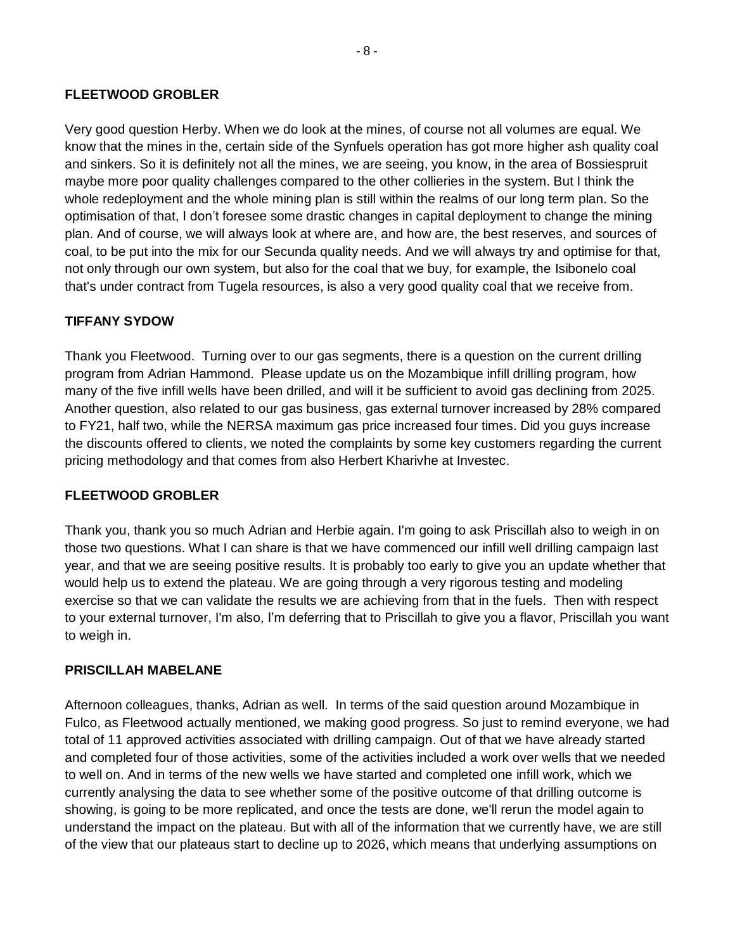#### **FLEETWOOD GROBLER**

Very good question Herby. When we do look at the mines, of course not all volumes are equal. We know that the mines in the, certain side of the Synfuels operation has got more higher ash quality coal and sinkers. So it is definitely not all the mines, we are seeing, you know, in the area of Bossiespruit maybe more poor quality challenges compared to the other collieries in the system. But I think the whole redeployment and the whole mining plan is still within the realms of our long term plan. So the optimisation of that, I don't foresee some drastic changes in capital deployment to change the mining plan. And of course, we will always look at where are, and how are, the best reserves, and sources of coal, to be put into the mix for our Secunda quality needs. And we will always try and optimise for that, not only through our own system, but also for the coal that we buy, for example, the Isibonelo coal that's under contract from Tugela resources, is also a very good quality coal that we receive from.

#### **TIFFANY SYDOW**

Thank you Fleetwood. Turning over to our gas segments, there is a question on the current drilling program from Adrian Hammond. Please update us on the Mozambique infill drilling program, how many of the five infill wells have been drilled, and will it be sufficient to avoid gas declining from 2025. Another question, also related to our gas business, gas external turnover increased by 28% compared to FY21, half two, while the NERSA maximum gas price increased four times. Did you guys increase the discounts offered to clients, we noted the complaints by some key customers regarding the current pricing methodology and that comes from also Herbert Kharivhe at Investec.

#### **FLEETWOOD GROBLER**

Thank you, thank you so much Adrian and Herbie again. I'm going to ask Priscillah also to weigh in on those two questions. What I can share is that we have commenced our infill well drilling campaign last year, and that we are seeing positive results. It is probably too early to give you an update whether that would help us to extend the plateau. We are going through a very rigorous testing and modeling exercise so that we can validate the results we are achieving from that in the fuels. Then with respect to your external turnover, I'm also, I'm deferring that to Priscillah to give you a flavor, Priscillah you want to weigh in.

#### **PRISCILLAH MABELANE**

Afternoon colleagues, thanks, Adrian as well. In terms of the said question around Mozambique in Fulco, as Fleetwood actually mentioned, we making good progress. So just to remind everyone, we had total of 11 approved activities associated with drilling campaign. Out of that we have already started and completed four of those activities, some of the activities included a work over wells that we needed to well on. And in terms of the new wells we have started and completed one infill work, which we currently analysing the data to see whether some of the positive outcome of that drilling outcome is showing, is going to be more replicated, and once the tests are done, we'll rerun the model again to understand the impact on the plateau. But with all of the information that we currently have, we are still of the view that our plateaus start to decline up to 2026, which means that underlying assumptions on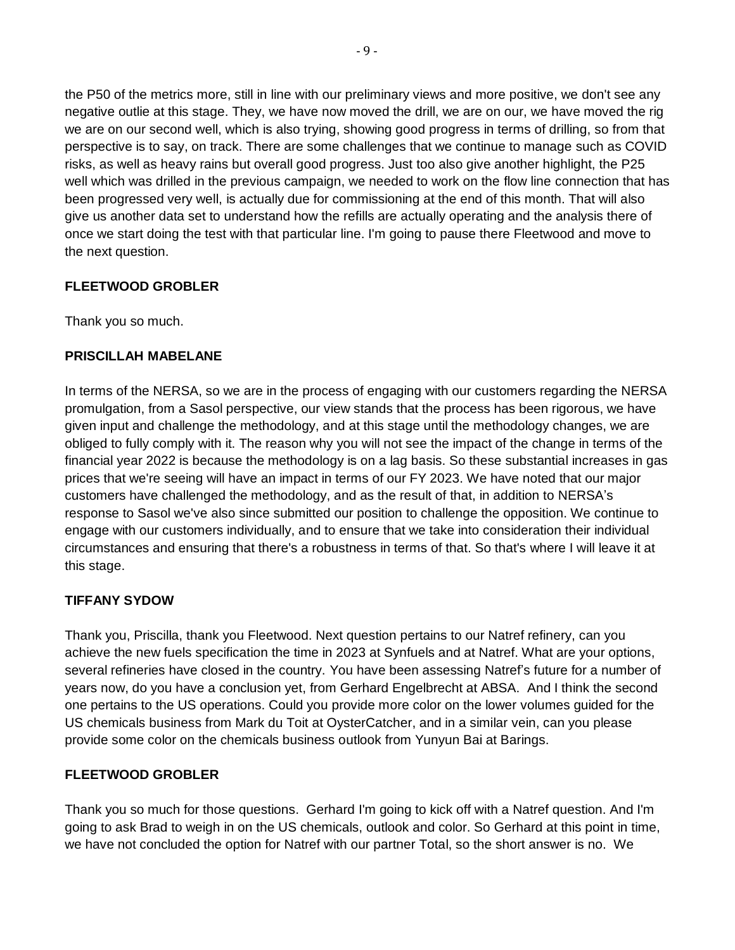the P50 of the metrics more, still in line with our preliminary views and more positive, we don't see any negative outlie at this stage. They, we have now moved the drill, we are on our, we have moved the rig we are on our second well, which is also trying, showing good progress in terms of drilling, so from that perspective is to say, on track. There are some challenges that we continue to manage such as COVID risks, as well as heavy rains but overall good progress. Just too also give another highlight, the P25 well which was drilled in the previous campaign, we needed to work on the flow line connection that has been progressed very well, is actually due for commissioning at the end of this month. That will also give us another data set to understand how the refills are actually operating and the analysis there of once we start doing the test with that particular line. I'm going to pause there Fleetwood and move to the next question.

## **FLEETWOOD GROBLER**

Thank you so much.

# **PRISCILLAH MABELANE**

In terms of the NERSA, so we are in the process of engaging with our customers regarding the NERSA promulgation, from a Sasol perspective, our view stands that the process has been rigorous, we have given input and challenge the methodology, and at this stage until the methodology changes, we are obliged to fully comply with it. The reason why you will not see the impact of the change in terms of the financial year 2022 is because the methodology is on a lag basis. So these substantial increases in gas prices that we're seeing will have an impact in terms of our FY 2023. We have noted that our major customers have challenged the methodology, and as the result of that, in addition to NERSA's response to Sasol we've also since submitted our position to challenge the opposition. We continue to engage with our customers individually, and to ensure that we take into consideration their individual circumstances and ensuring that there's a robustness in terms of that. So that's where I will leave it at this stage.

## **TIFFANY SYDOW**

Thank you, Priscilla, thank you Fleetwood. Next question pertains to our Natref refinery, can you achieve the new fuels specification the time in 2023 at Synfuels and at Natref. What are your options, several refineries have closed in the country. You have been assessing Natref's future for a number of years now, do you have a conclusion yet, from Gerhard Engelbrecht at ABSA. And I think the second one pertains to the US operations. Could you provide more color on the lower volumes guided for the US chemicals business from Mark du Toit at OysterCatcher, and in a similar vein, can you please provide some color on the chemicals business outlook from Yunyun Bai at Barings.

## **FLEETWOOD GROBLER**

Thank you so much for those questions. Gerhard I'm going to kick off with a Natref question. And I'm going to ask Brad to weigh in on the US chemicals, outlook and color. So Gerhard at this point in time, we have not concluded the option for Natref with our partner Total, so the short answer is no. We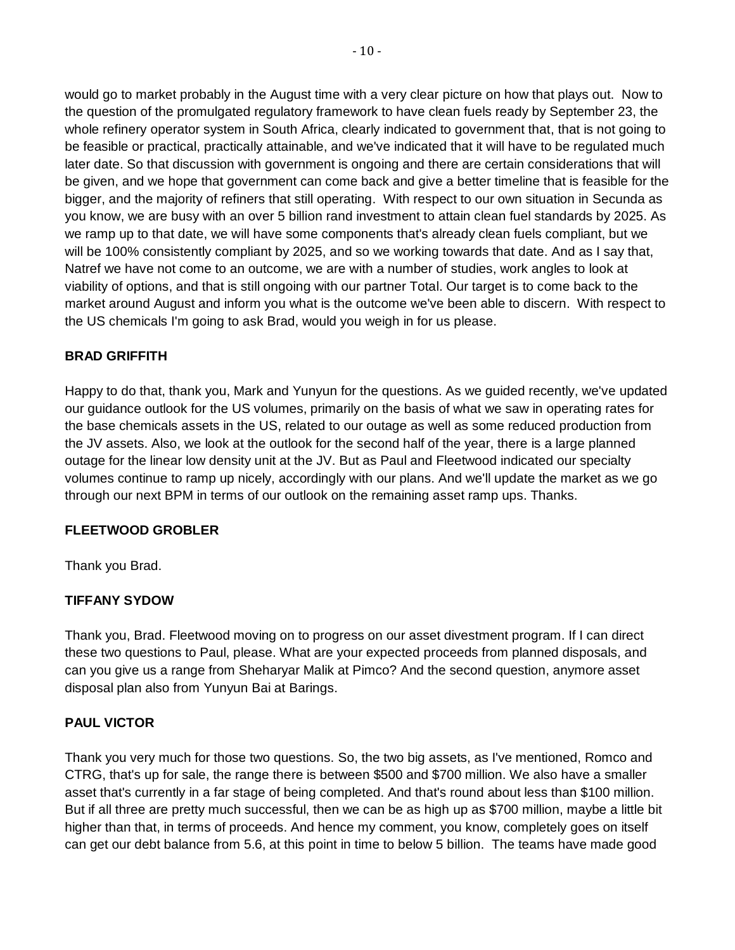would go to market probably in the August time with a very clear picture on how that plays out. Now to the question of the promulgated regulatory framework to have clean fuels ready by September 23, the whole refinery operator system in South Africa, clearly indicated to government that, that is not going to be feasible or practical, practically attainable, and we've indicated that it will have to be regulated much later date. So that discussion with government is ongoing and there are certain considerations that will be given, and we hope that government can come back and give a better timeline that is feasible for the bigger, and the majority of refiners that still operating. With respect to our own situation in Secunda as you know, we are busy with an over 5 billion rand investment to attain clean fuel standards by 2025. As we ramp up to that date, we will have some components that's already clean fuels compliant, but we will be 100% consistently compliant by 2025, and so we working towards that date. And as I say that, Natref we have not come to an outcome, we are with a number of studies, work angles to look at viability of options, and that is still ongoing with our partner Total. Our target is to come back to the market around August and inform you what is the outcome we've been able to discern. With respect to the US chemicals I'm going to ask Brad, would you weigh in for us please.

## **BRAD GRIFFITH**

Happy to do that, thank you, Mark and Yunyun for the questions. As we guided recently, we've updated our guidance outlook for the US volumes, primarily on the basis of what we saw in operating rates for the base chemicals assets in the US, related to our outage as well as some reduced production from the JV assets. Also, we look at the outlook for the second half of the year, there is a large planned outage for the linear low density unit at the JV. But as Paul and Fleetwood indicated our specialty volumes continue to ramp up nicely, accordingly with our plans. And we'll update the market as we go through our next BPM in terms of our outlook on the remaining asset ramp ups. Thanks.

#### **FLEETWOOD GROBLER**

Thank you Brad.

## **TIFFANY SYDOW**

Thank you, Brad. Fleetwood moving on to progress on our asset divestment program. If I can direct these two questions to Paul, please. What are your expected proceeds from planned disposals, and can you give us a range from Sheharyar Malik at Pimco? And the second question, anymore asset disposal plan also from Yunyun Bai at Barings.

## **PAUL VICTOR**

Thank you very much for those two questions. So, the two big assets, as I've mentioned, Romco and CTRG, that's up for sale, the range there is between \$500 and \$700 million. We also have a smaller asset that's currently in a far stage of being completed. And that's round about less than \$100 million. But if all three are pretty much successful, then we can be as high up as \$700 million, maybe a little bit higher than that, in terms of proceeds. And hence my comment, you know, completely goes on itself can get our debt balance from 5.6, at this point in time to below 5 billion. The teams have made good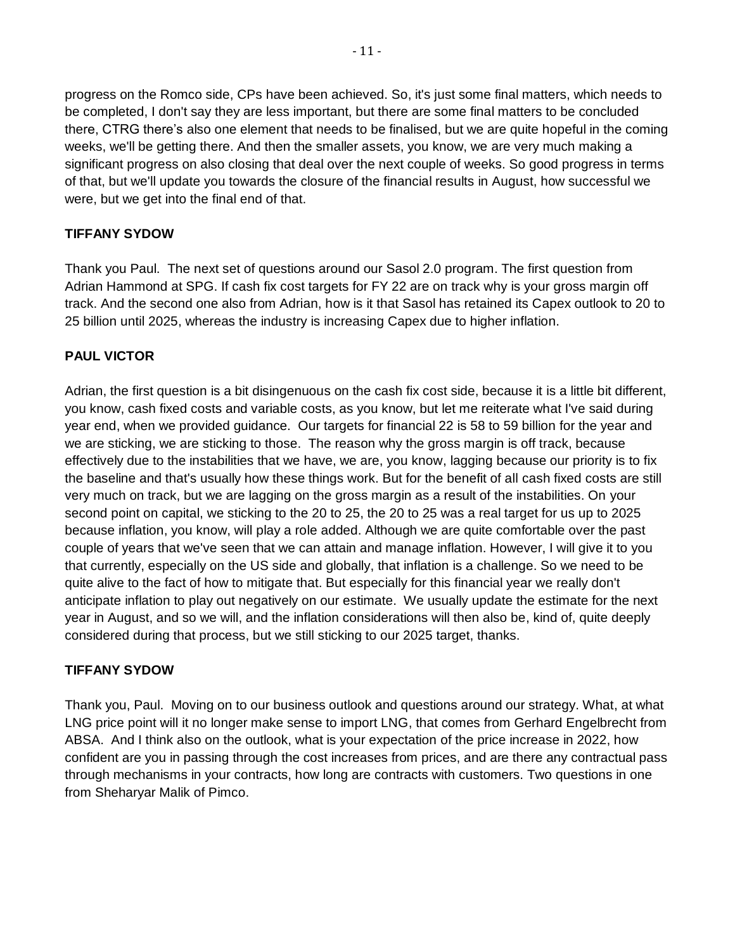progress on the Romco side, CPs have been achieved. So, it's just some final matters, which needs to be completed, I don't say they are less important, but there are some final matters to be concluded there, CTRG there's also one element that needs to be finalised, but we are quite hopeful in the coming weeks, we'll be getting there. And then the smaller assets, you know, we are very much making a significant progress on also closing that deal over the next couple of weeks. So good progress in terms of that, but we'll update you towards the closure of the financial results in August, how successful we were, but we get into the final end of that.

## **TIFFANY SYDOW**

Thank you Paul. The next set of questions around our Sasol 2.0 program. The first question from Adrian Hammond at SPG. If cash fix cost targets for FY 22 are on track why is your gross margin off track. And the second one also from Adrian, how is it that Sasol has retained its Capex outlook to 20 to 25 billion until 2025, whereas the industry is increasing Capex due to higher inflation.

# **PAUL VICTOR**

Adrian, the first question is a bit disingenuous on the cash fix cost side, because it is a little bit different, you know, cash fixed costs and variable costs, as you know, but let me reiterate what I've said during year end, when we provided guidance. Our targets for financial 22 is 58 to 59 billion for the year and we are sticking, we are sticking to those. The reason why the gross margin is off track, because effectively due to the instabilities that we have, we are, you know, lagging because our priority is to fix the baseline and that's usually how these things work. But for the benefit of all cash fixed costs are still very much on track, but we are lagging on the gross margin as a result of the instabilities. On your second point on capital, we sticking to the 20 to 25, the 20 to 25 was a real target for us up to 2025 because inflation, you know, will play a role added. Although we are quite comfortable over the past couple of years that we've seen that we can attain and manage inflation. However, I will give it to you that currently, especially on the US side and globally, that inflation is a challenge. So we need to be quite alive to the fact of how to mitigate that. But especially for this financial year we really don't anticipate inflation to play out negatively on our estimate. We usually update the estimate for the next year in August, and so we will, and the inflation considerations will then also be, kind of, quite deeply considered during that process, but we still sticking to our 2025 target, thanks.

## **TIFFANY SYDOW**

Thank you, Paul. Moving on to our business outlook and questions around our strategy. What, at what LNG price point will it no longer make sense to import LNG, that comes from Gerhard Engelbrecht from ABSA. And I think also on the outlook, what is your expectation of the price increase in 2022, how confident are you in passing through the cost increases from prices, and are there any contractual pass through mechanisms in your contracts, how long are contracts with customers. Two questions in one from Sheharyar Malik of Pimco.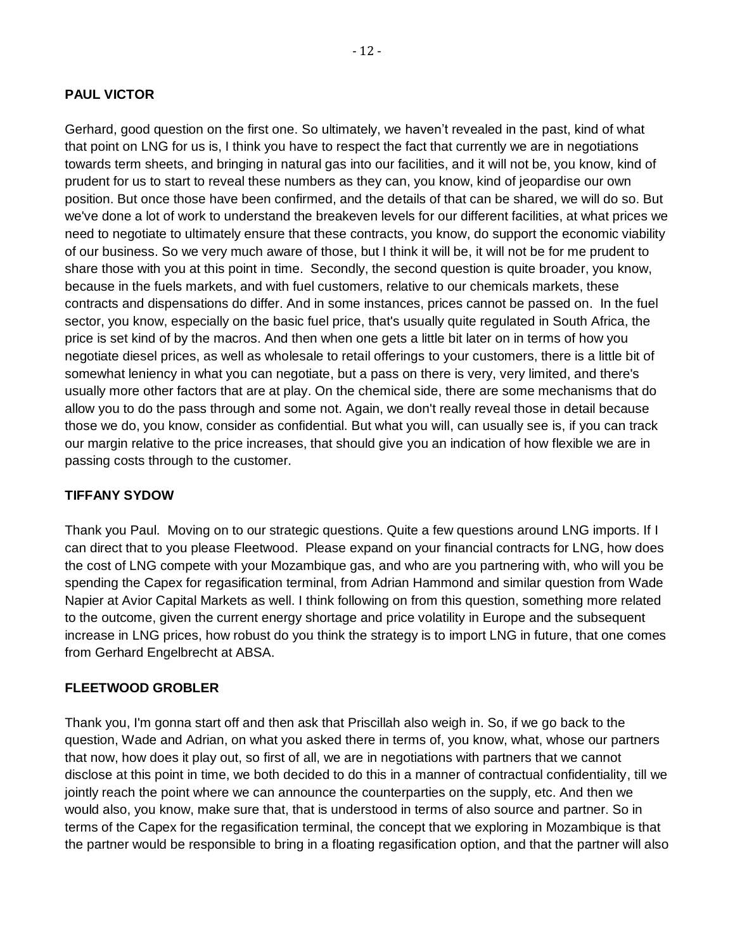#### **PAUL VICTOR**

Gerhard, good question on the first one. So ultimately, we haven't revealed in the past, kind of what that point on LNG for us is, I think you have to respect the fact that currently we are in negotiations towards term sheets, and bringing in natural gas into our facilities, and it will not be, you know, kind of prudent for us to start to reveal these numbers as they can, you know, kind of jeopardise our own position. But once those have been confirmed, and the details of that can be shared, we will do so. But we've done a lot of work to understand the breakeven levels for our different facilities, at what prices we need to negotiate to ultimately ensure that these contracts, you know, do support the economic viability of our business. So we very much aware of those, but I think it will be, it will not be for me prudent to share those with you at this point in time. Secondly, the second question is quite broader, you know, because in the fuels markets, and with fuel customers, relative to our chemicals markets, these contracts and dispensations do differ. And in some instances, prices cannot be passed on. In the fuel sector, you know, especially on the basic fuel price, that's usually quite regulated in South Africa, the price is set kind of by the macros. And then when one gets a little bit later on in terms of how you negotiate diesel prices, as well as wholesale to retail offerings to your customers, there is a little bit of somewhat leniency in what you can negotiate, but a pass on there is very, very limited, and there's usually more other factors that are at play. On the chemical side, there are some mechanisms that do allow you to do the pass through and some not. Again, we don't really reveal those in detail because those we do, you know, consider as confidential. But what you will, can usually see is, if you can track our margin relative to the price increases, that should give you an indication of how flexible we are in passing costs through to the customer.

#### **TIFFANY SYDOW**

Thank you Paul. Moving on to our strategic questions. Quite a few questions around LNG imports. If I can direct that to you please Fleetwood. Please expand on your financial contracts for LNG, how does the cost of LNG compete with your Mozambique gas, and who are you partnering with, who will you be spending the Capex for regasification terminal, from Adrian Hammond and similar question from Wade Napier at Avior Capital Markets as well. I think following on from this question, something more related to the outcome, given the current energy shortage and price volatility in Europe and the subsequent increase in LNG prices, how robust do you think the strategy is to import LNG in future, that one comes from Gerhard Engelbrecht at ABSA.

#### **FLEETWOOD GROBLER**

Thank you, I'm gonna start off and then ask that Priscillah also weigh in. So, if we go back to the question, Wade and Adrian, on what you asked there in terms of, you know, what, whose our partners that now, how does it play out, so first of all, we are in negotiations with partners that we cannot disclose at this point in time, we both decided to do this in a manner of contractual confidentiality, till we jointly reach the point where we can announce the counterparties on the supply, etc. And then we would also, you know, make sure that, that is understood in terms of also source and partner. So in terms of the Capex for the regasification terminal, the concept that we exploring in Mozambique is that the partner would be responsible to bring in a floating regasification option, and that the partner will also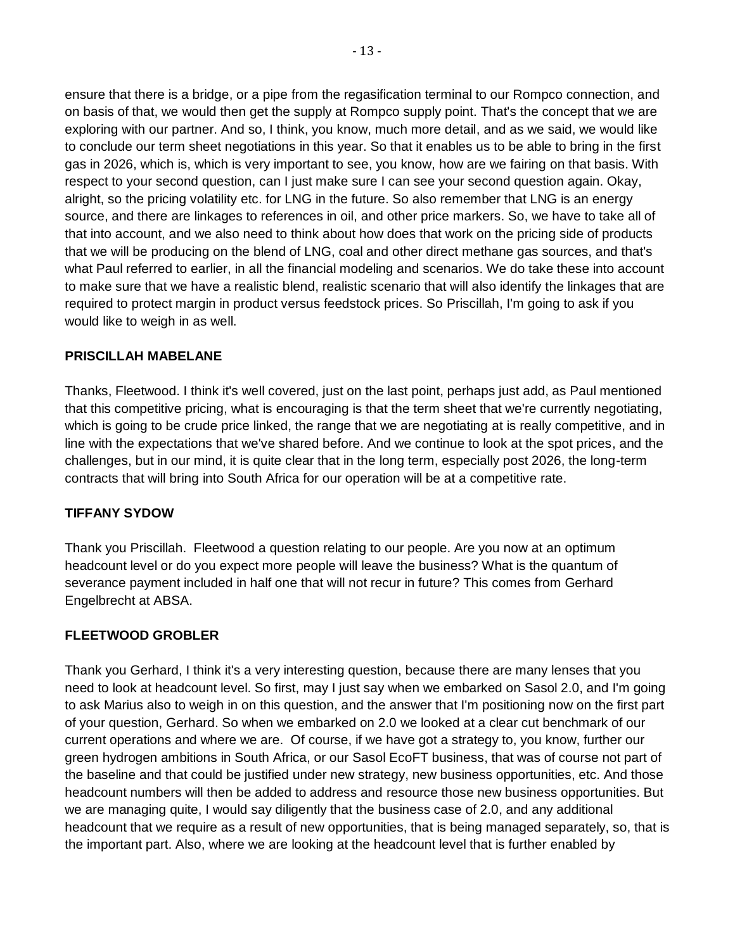ensure that there is a bridge, or a pipe from the regasification terminal to our Rompco connection, and on basis of that, we would then get the supply at Rompco supply point. That's the concept that we are exploring with our partner. And so, I think, you know, much more detail, and as we said, we would like to conclude our term sheet negotiations in this year. So that it enables us to be able to bring in the first gas in 2026, which is, which is very important to see, you know, how are we fairing on that basis. With respect to your second question, can I just make sure I can see your second question again. Okay, alright, so the pricing volatility etc. for LNG in the future. So also remember that LNG is an energy source, and there are linkages to references in oil, and other price markers. So, we have to take all of that into account, and we also need to think about how does that work on the pricing side of products that we will be producing on the blend of LNG, coal and other direct methane gas sources, and that's what Paul referred to earlier, in all the financial modeling and scenarios. We do take these into account to make sure that we have a realistic blend, realistic scenario that will also identify the linkages that are required to protect margin in product versus feedstock prices. So Priscillah, I'm going to ask if you would like to weigh in as well.

#### **PRISCILLAH MABELANE**

Thanks, Fleetwood. I think it's well covered, just on the last point, perhaps just add, as Paul mentioned that this competitive pricing, what is encouraging is that the term sheet that we're currently negotiating, which is going to be crude price linked, the range that we are negotiating at is really competitive, and in line with the expectations that we've shared before. And we continue to look at the spot prices, and the challenges, but in our mind, it is quite clear that in the long term, especially post 2026, the long-term contracts that will bring into South Africa for our operation will be at a competitive rate.

#### **TIFFANY SYDOW**

Thank you Priscillah. Fleetwood a question relating to our people. Are you now at an optimum headcount level or do you expect more people will leave the business? What is the quantum of severance payment included in half one that will not recur in future? This comes from Gerhard Engelbrecht at ABSA.

#### **FLEETWOOD GROBLER**

Thank you Gerhard, I think it's a very interesting question, because there are many lenses that you need to look at headcount level. So first, may I just say when we embarked on Sasol 2.0, and I'm going to ask Marius also to weigh in on this question, and the answer that I'm positioning now on the first part of your question, Gerhard. So when we embarked on 2.0 we looked at a clear cut benchmark of our current operations and where we are. Of course, if we have got a strategy to, you know, further our green hydrogen ambitions in South Africa, or our Sasol EcoFT business, that was of course not part of the baseline and that could be justified under new strategy, new business opportunities, etc. And those headcount numbers will then be added to address and resource those new business opportunities. But we are managing quite, I would say diligently that the business case of 2.0, and any additional headcount that we require as a result of new opportunities, that is being managed separately, so, that is the important part. Also, where we are looking at the headcount level that is further enabled by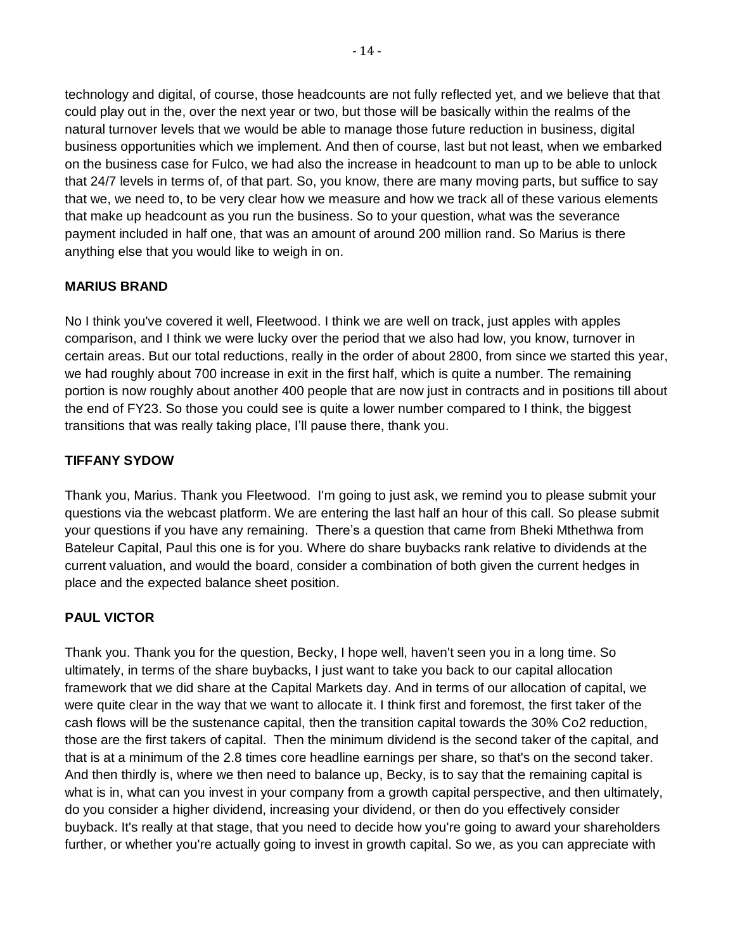technology and digital, of course, those headcounts are not fully reflected yet, and we believe that that could play out in the, over the next year or two, but those will be basically within the realms of the natural turnover levels that we would be able to manage those future reduction in business, digital business opportunities which we implement. And then of course, last but not least, when we embarked on the business case for Fulco, we had also the increase in headcount to man up to be able to unlock that 24/7 levels in terms of, of that part. So, you know, there are many moving parts, but suffice to say that we, we need to, to be very clear how we measure and how we track all of these various elements that make up headcount as you run the business. So to your question, what was the severance payment included in half one, that was an amount of around 200 million rand. So Marius is there anything else that you would like to weigh in on.

## **MARIUS BRAND**

No I think you've covered it well, Fleetwood. I think we are well on track, just apples with apples comparison, and I think we were lucky over the period that we also had low, you know, turnover in certain areas. But our total reductions, really in the order of about 2800, from since we started this year, we had roughly about 700 increase in exit in the first half, which is quite a number. The remaining portion is now roughly about another 400 people that are now just in contracts and in positions till about the end of FY23. So those you could see is quite a lower number compared to I think, the biggest transitions that was really taking place, I'll pause there, thank you.

## **TIFFANY SYDOW**

Thank you, Marius. Thank you Fleetwood. I'm going to just ask, we remind you to please submit your questions via the webcast platform. We are entering the last half an hour of this call. So please submit your questions if you have any remaining. There's a question that came from Bheki Mthethwa from Bateleur Capital, Paul this one is for you. Where do share buybacks rank relative to dividends at the current valuation, and would the board, consider a combination of both given the current hedges in place and the expected balance sheet position.

## **PAUL VICTOR**

Thank you. Thank you for the question, Becky, I hope well, haven't seen you in a long time. So ultimately, in terms of the share buybacks, I just want to take you back to our capital allocation framework that we did share at the Capital Markets day. And in terms of our allocation of capital, we were quite clear in the way that we want to allocate it. I think first and foremost, the first taker of the cash flows will be the sustenance capital, then the transition capital towards the 30% Co2 reduction, those are the first takers of capital. Then the minimum dividend is the second taker of the capital, and that is at a minimum of the 2.8 times core headline earnings per share, so that's on the second taker. And then thirdly is, where we then need to balance up, Becky, is to say that the remaining capital is what is in, what can you invest in your company from a growth capital perspective, and then ultimately, do you consider a higher dividend, increasing your dividend, or then do you effectively consider buyback. It's really at that stage, that you need to decide how you're going to award your shareholders further, or whether you're actually going to invest in growth capital. So we, as you can appreciate with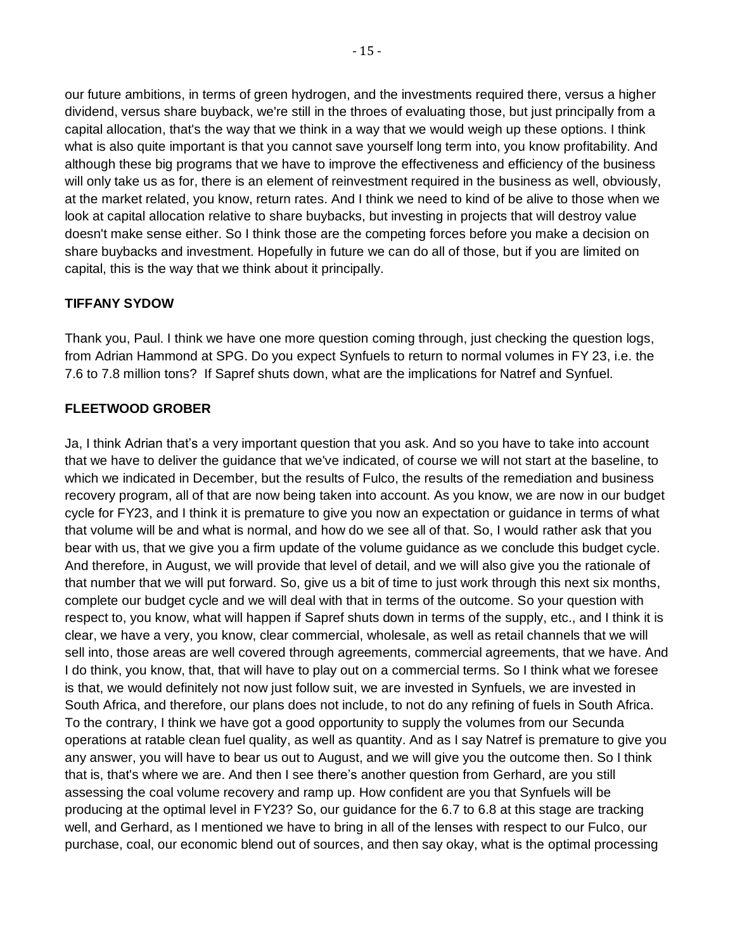our future ambitions, in terms of green hydrogen, and the investments required there, versus a higher dividend, versus share buyback, we're still in the throes of evaluating those, but just principally from a capital allocation, that's the way that we think in a way that we would weigh up these options. I think what is also quite important is that you cannot save yourself long term into, you know profitability. And although these big programs that we have to improve the effectiveness and efficiency of the business will only take us as for, there is an element of reinvestment required in the business as well, obviously, at the market related, you know, return rates. And I think we need to kind of be alive to those when we look at capital allocation relative to share buybacks, but investing in projects that will destroy value doesn't make sense either. So I think those are the competing forces before you make a decision on share buybacks and investment. Hopefully in future we can do all of those, but if you are limited on capital, this is the way that we think about it principally.

# **TIFFANY SYDOW**

Thank you, Paul. I think we have one more question coming through, just checking the question logs, from Adrian Hammond at SPG. Do you expect Synfuels to return to normal volumes in FY 23, i.e. the 7.6 to 7.8 million tons? If Sapref shuts down, what are the implications for Natref and Synfuel.

## **FLEETWOOD GROBER**

Ja, I think Adrian that's a very important question that you ask. And so you have to take into account that we have to deliver the guidance that we've indicated, of course we will not start at the baseline, to which we indicated in December, but the results of Fulco, the results of the remediation and business recovery program, all of that are now being taken into account. As you know, we are now in our budget cycle for FY23, and I think it is premature to give you now an expectation or guidance in terms of what that volume will be and what is normal, and how do we see all of that. So, I would rather ask that you bear with us, that we give you a firm update of the volume guidance as we conclude this budget cycle. And therefore, in August, we will provide that level of detail, and we will also give you the rationale of that number that we will put forward. So, give us a bit of time to just work through this next six months, complete our budget cycle and we will deal with that in terms of the outcome. So your question with respect to, you know, what will happen if Sapref shuts down in terms of the supply, etc., and I think it is clear, we have a very, you know, clear commercial, wholesale, as well as retail channels that we will sell into, those areas are well covered through agreements, commercial agreements, that we have. And I do think, you know, that, that will have to play out on a commercial terms. So I think what we foresee is that, we would definitely not now just follow suit, we are invested in Synfuels, we are invested in South Africa, and therefore, our plans does not include, to not do any refining of fuels in South Africa. To the contrary, I think we have got a good opportunity to supply the volumes from our Secunda operations at ratable clean fuel quality, as well as quantity. And as I say Natref is premature to give you any answer, you will have to bear us out to August, and we will give you the outcome then. So I think that is, that's where we are. And then I see there's another question from Gerhard, are you still assessing the coal volume recovery and ramp up. How confident are you that Synfuels will be producing at the optimal level in FY23? So, our guidance for the 6.7 to 6.8 at this stage are tracking well, and Gerhard, as I mentioned we have to bring in all of the lenses with respect to our Fulco, our purchase, coal, our economic blend out of sources, and then say okay, what is the optimal processing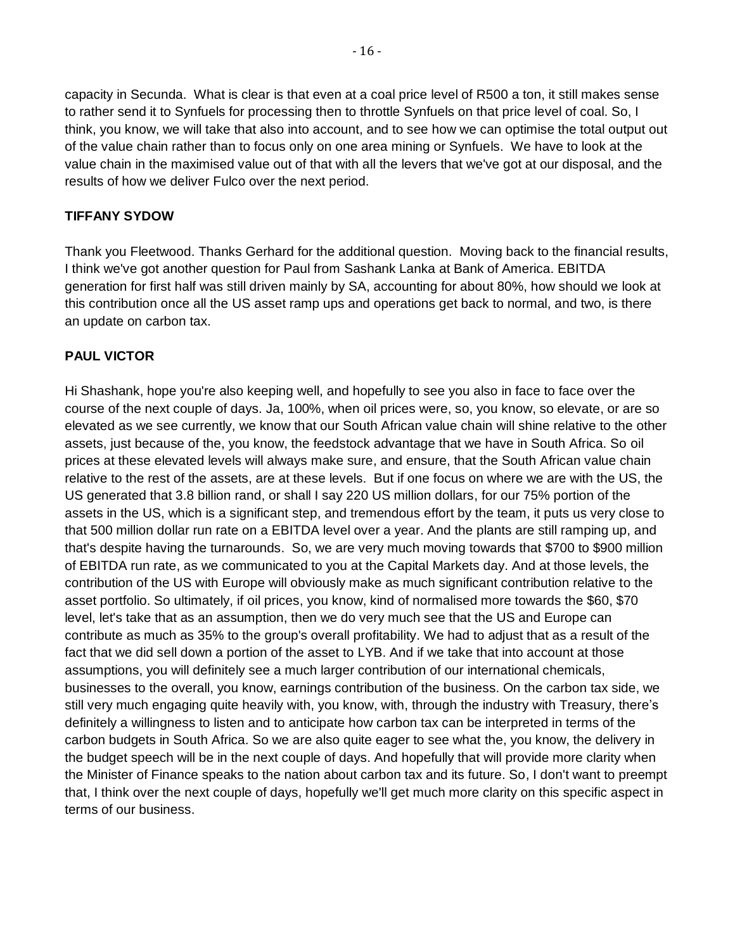capacity in Secunda. What is clear is that even at a coal price level of R500 a ton, it still makes sense to rather send it to Synfuels for processing then to throttle Synfuels on that price level of coal. So, I think, you know, we will take that also into account, and to see how we can optimise the total output out of the value chain rather than to focus only on one area mining or Synfuels. We have to look at the value chain in the maximised value out of that with all the levers that we've got at our disposal, and the results of how we deliver Fulco over the next period.

#### **TIFFANY SYDOW**

Thank you Fleetwood. Thanks Gerhard for the additional question. Moving back to the financial results, I think we've got another question for Paul from Sashank Lanka at Bank of America. EBITDA generation for first half was still driven mainly by SA, accounting for about 80%, how should we look at this contribution once all the US asset ramp ups and operations get back to normal, and two, is there an update on carbon tax.

## **PAUL VICTOR**

Hi Shashank, hope you're also keeping well, and hopefully to see you also in face to face over the course of the next couple of days. Ja, 100%, when oil prices were, so, you know, so elevate, or are so elevated as we see currently, we know that our South African value chain will shine relative to the other assets, just because of the, you know, the feedstock advantage that we have in South Africa. So oil prices at these elevated levels will always make sure, and ensure, that the South African value chain relative to the rest of the assets, are at these levels. But if one focus on where we are with the US, the US generated that 3.8 billion rand, or shall I say 220 US million dollars, for our 75% portion of the assets in the US, which is a significant step, and tremendous effort by the team, it puts us very close to that 500 million dollar run rate on a EBITDA level over a year. And the plants are still ramping up, and that's despite having the turnarounds. So, we are very much moving towards that \$700 to \$900 million of EBITDA run rate, as we communicated to you at the Capital Markets day. And at those levels, the contribution of the US with Europe will obviously make as much significant contribution relative to the asset portfolio. So ultimately, if oil prices, you know, kind of normalised more towards the \$60, \$70 level, let's take that as an assumption, then we do very much see that the US and Europe can contribute as much as 35% to the group's overall profitability. We had to adjust that as a result of the fact that we did sell down a portion of the asset to LYB. And if we take that into account at those assumptions, you will definitely see a much larger contribution of our international chemicals, businesses to the overall, you know, earnings contribution of the business. On the carbon tax side, we still very much engaging quite heavily with, you know, with, through the industry with Treasury, there's definitely a willingness to listen and to anticipate how carbon tax can be interpreted in terms of the carbon budgets in South Africa. So we are also quite eager to see what the, you know, the delivery in the budget speech will be in the next couple of days. And hopefully that will provide more clarity when the Minister of Finance speaks to the nation about carbon tax and its future. So, I don't want to preempt that, I think over the next couple of days, hopefully we'll get much more clarity on this specific aspect in terms of our business.